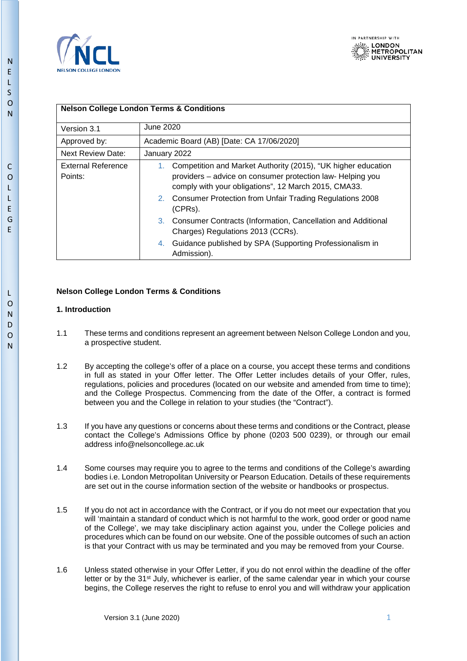



### **Nelson College London Terms & Conditions**

| Version 3.1                          | June 2020                                                                                                                                                                                                                                                           |  |
|--------------------------------------|---------------------------------------------------------------------------------------------------------------------------------------------------------------------------------------------------------------------------------------------------------------------|--|
| Approved by:                         | Academic Board (AB) [Date: CA 17/06/2020]                                                                                                                                                                                                                           |  |
| <b>Next Review Date:</b>             | January 2022                                                                                                                                                                                                                                                        |  |
| <b>External Reference</b><br>Points: | Competition and Market Authority (2015), "UK higher education<br>1.<br>providers - advice on consumer protection law- Helping you<br>comply with your obligations", 12 March 2015, CMA33.<br>2. Consumer Protection from Unfair Trading Regulations 2008<br>(CPRs). |  |
|                                      | Consumer Contracts (Information, Cancellation and Additional<br>3.<br>Charges) Regulations 2013 (CCRs).                                                                                                                                                             |  |
|                                      | Guidance published by SPA (Supporting Professionalism in<br>4.<br>Admission).                                                                                                                                                                                       |  |

# **Nelson College London Terms & Conditions**

# **1. Introduction**

- 1.1 These terms and conditions represent an agreement between Nelson College London and you, a prospective student.
- 1.2 By accepting the college's offer of a place on a course, you accept these terms and conditions in full as stated in your Offer letter. The Offer Letter includes details of your Offer, rules, regulations, policies and procedures (located on our website and amended from time to time); and the College Prospectus. Commencing from the date of the Offer, a contract is formed between you and the College in relation to your studies (the "Contract").
- 1.3 If you have any questions or concerns about these terms and conditions or the Contract, please contact the College's Admissions Office by phone (0203 500 0239), or through our email address info@nelsoncollege.ac.uk
- 1.4 Some courses may require you to agree to the terms and conditions of the College's awarding bodies i.e. London Metropolitan University or Pearson Education. Details of these requirements are set out in the course information section of the website or handbooks or prospectus.
- 1.5 If you do not act in accordance with the Contract, or if you do not meet our expectation that you will 'maintain a standard of conduct which is not harmful to the work, good order or good name of the College', we may take disciplinary action against you, under the College policies and procedures which can be found on our website. One of the possible outcomes of such an action is that your Contract with us may be terminated and you may be removed from your Course.
- 1.6 Unless stated otherwise in your Offer Letter, if you do not enrol within the deadline of the offer letter or by the  $31<sup>st</sup>$  July, whichever is earlier, of the same calendar year in which your course begins, the College reserves the right to refuse to enrol you and will withdraw your application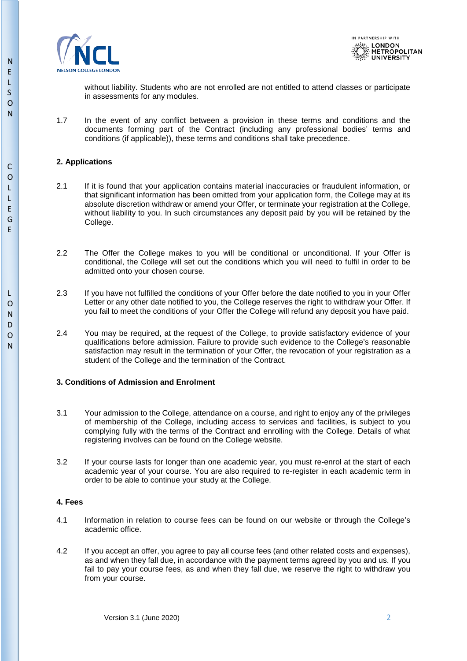



without liability. Students who are not enrolled are not entitled to attend classes or participate in assessments for any modules.

1.7 In the event of any conflict between a provision in these terms and conditions and the documents forming part of the Contract (including any professional bodies' terms and conditions (if applicable)), these terms and conditions shall take precedence.

### **2. Applications**

- 2.1 If it is found that your application contains material inaccuracies or fraudulent information, or that significant information has been omitted from your application form, the College may at its absolute discretion withdraw or amend your Offer, or terminate your registration at the College, without liability to you. In such circumstances any deposit paid by you will be retained by the College.
- 2.2 The Offer the College makes to you will be conditional or unconditional. If your Offer is conditional, the College will set out the conditions which you will need to fulfil in order to be admitted onto your chosen course.
- 2.3 If you have not fulfilled the conditions of your Offer before the date notified to you in your Offer Letter or any other date notified to you, the College reserves the right to withdraw your Offer. If you fail to meet the conditions of your Offer the College will refund any deposit you have paid.
- 2.4 You may be required, at the request of the College, to provide satisfactory evidence of your qualifications before admission. Failure to provide such evidence to the College's reasonable satisfaction may result in the termination of your Offer, the revocation of your registration as a student of the College and the termination of the Contract.

### **3. Conditions of Admission and Enrolment**

- 3.1 Your admission to the College, attendance on a course, and right to enjoy any of the privileges of membership of the College, including access to services and facilities, is subject to you complying fully with the terms of the Contract and enrolling with the College. Details of what registering involves can be found on the College website.
- 3.2 If your course lasts for longer than one academic year, you must re-enrol at the start of each academic year of your course. You are also required to re-register in each academic term in order to be able to continue your study at the College.

#### **4. Fees**

- 4.1 Information in relation to course fees can be found on our website or through the College's academic office.
- 4.2 If you accept an offer, you agree to pay all course fees (and other related costs and expenses), as and when they fall due, in accordance with the payment terms agreed by you and us. If you fail to pay your course fees, as and when they fall due, we reserve the right to withdraw you from your course.

N

N

C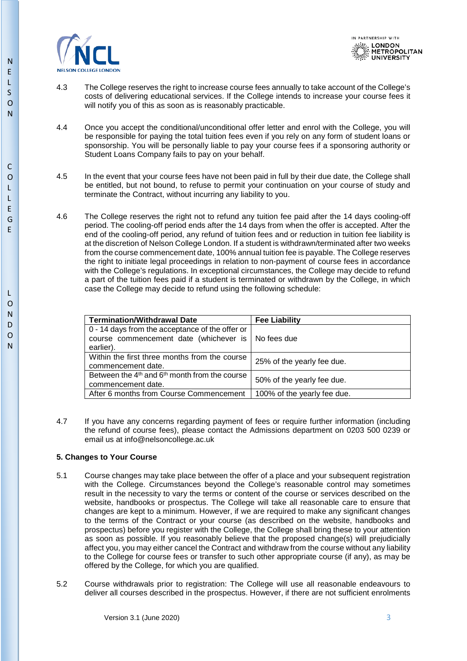



- 4.3 The College reserves the right to increase course fees annually to take account of the College's costs of delivering educational services. If the College intends to increase your course fees it will notify you of this as soon as is reasonably practicable.
- 4.4 Once you accept the conditional/unconditional offer letter and enrol with the College, you will be responsible for paying the total tuition fees even if you rely on any form of student loans or sponsorship. You will be personally liable to pay your course fees if a sponsoring authority or Student Loans Company fails to pay on your behalf.
- 4.5 In the event that your course fees have not been paid in full by their due date, the College shall be entitled, but not bound, to refuse to permit your continuation on your course of study and terminate the Contract, without incurring any liability to you.
- 4.6 The College reserves the right not to refund any tuition fee paid after the 14 days cooling-off period. The cooling-off period ends after the 14 days from when the offer is accepted. After the end of the cooling-off period, any refund of tuition fees and or reduction in tuition fee liability is at the discretion of Nelson College London. If a student is withdrawn/terminated after two weeks from the course commencement date, 100% annual tuition fee is payable. The College reserves the right to initiate legal proceedings in relation to non-payment of course fees in accordance with the College's regulations. In exceptional circumstances, the College may decide to refund a part of the tuition fees paid if a student is terminated or withdrawn by the College, in which case the College may decide to refund using the following schedule:

| <b>Termination/Withdrawal Date</b>                                                                     | <b>Fee Liability</b>        |
|--------------------------------------------------------------------------------------------------------|-----------------------------|
| 0 - 14 days from the acceptance of the offer or<br>course commencement date (whichever is<br>earlier). | No fees due                 |
| Within the first three months from the course<br>commencement date.                                    | 25% of the yearly fee due.  |
| Between the $4th$ and $6th$ month from the course<br>commencement date.                                | 50% of the yearly fee due.  |
| After 6 months from Course Commencement                                                                | 100% of the yearly fee due. |

4.7 If you have any concerns regarding payment of fees or require further information (including the refund of course fees), please contact the Admissions department on 0203 500 0239 or email us at info@nelsoncollege.ac.uk

# **5. Changes to Your Course**

- 5.1 Course changes may take place between the offer of a place and your subsequent registration with the College. Circumstances beyond the College's reasonable control may sometimes result in the necessity to vary the terms or content of the course or services described on the website, handbooks or prospectus. The College will take all reasonable care to ensure that changes are kept to a minimum. However, if we are required to make any significant changes to the terms of the Contract or your course (as described on the website, handbooks and prospectus) before you register with the College, the College shall bring these to your attention as soon as possible. If you reasonably believe that the proposed change(s) will prejudicially affect you, you may either cancel the Contract and withdraw from the course without any liability to the College for course fees or transfer to such other appropriate course (if any), as may be offered by the College, for which you are qualified.
- 5.2 Course withdrawals prior to registration: The College will use all reasonable endeavours to deliver all courses described in the prospectus. However, if there are not sufficient enrolments

L

N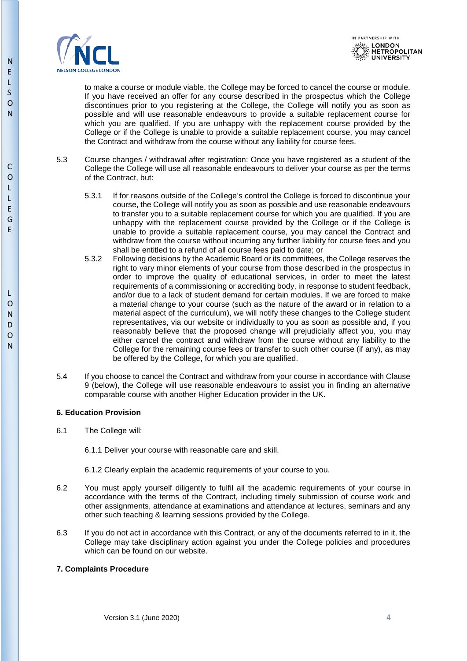



to make a course or module viable, the College may be forced to cancel the course or module. If you have received an offer for any course described in the prospectus which the College discontinues prior to you registering at the College, the College will notify you as soon as possible and will use reasonable endeavours to provide a suitable replacement course for which you are qualified. If you are unhappy with the replacement course provided by the College or if the College is unable to provide a suitable replacement course, you may cancel the Contract and withdraw from the course without any liability for course fees.

- 5.3 Course changes / withdrawal after registration: Once you have registered as a student of the College the College will use all reasonable endeavours to deliver your course as per the terms of the Contract, but:
	- 5.3.1 If for reasons outside of the College's control the College is forced to discontinue your course, the College will notify you as soon as possible and use reasonable endeavours to transfer you to a suitable replacement course for which you are qualified. If you are unhappy with the replacement course provided by the College or if the College is unable to provide a suitable replacement course, you may cancel the Contract and withdraw from the course without incurring any further liability for course fees and you shall be entitled to a refund of all course fees paid to date; or
	- 5.3.2 Following decisions by the Academic Board or its committees, the College reserves the right to vary minor elements of your course from those described in the prospectus in order to improve the quality of educational services, in order to meet the latest requirements of a commissioning or accrediting body, in response to student feedback, and/or due to a lack of student demand for certain modules. If we are forced to make a material change to your course (such as the nature of the award or in relation to a material aspect of the curriculum), we will notify these changes to the College student representatives, via our website or individually to you as soon as possible and, if you reasonably believe that the proposed change will prejudicially affect you, you may either cancel the contract and withdraw from the course without any liability to the College for the remaining course fees or transfer to such other course (if any), as may be offered by the College, for which you are qualified.
- 5.4 If you choose to cancel the Contract and withdraw from your course in accordance with Clause 9 (below), the College will use reasonable endeavours to assist you in finding an alternative comparable course with another Higher Education provider in the UK.

# **6. Education Provision**

6.1 The College will:

6.1.1 Deliver your course with reasonable care and skill.

- 6.1.2 Clearly explain the academic requirements of your course to you.
- 6.2 You must apply yourself diligently to fulfil all the academic requirements of your course in accordance with the terms of the Contract, including timely submission of course work and other assignments, attendance at examinations and attendance at lectures, seminars and any other such teaching & learning sessions provided by the College.
- 6.3 If you do not act in accordance with this Contract, or any of the documents referred to in it, the College may take disciplinary action against you under the College policies and procedures which can be found on our website.

# **7. Complaints Procedure**

C  $\Omega$ L L E G E

N E L S  $\overline{O}$ N

N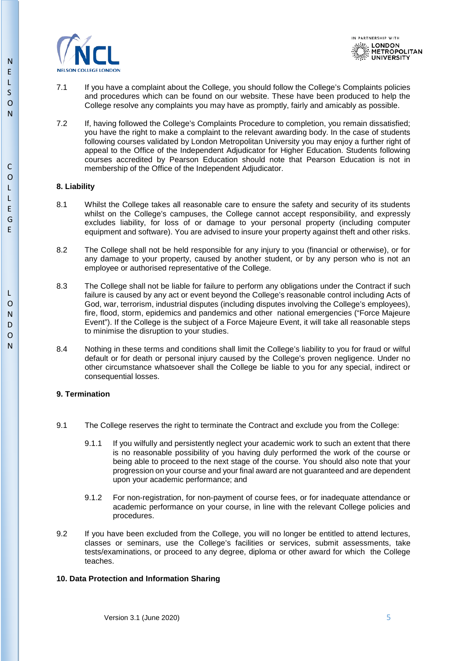



- 7.1 If you have a complaint about the College, you should follow the College's Complaints policies and procedures which can be found on our website. These have been produced to help the College resolve any complaints you may have as promptly, fairly and amicably as possible.
- 7.2 If, having followed the College's Complaints Procedure to completion, you remain dissatisfied; you have the right to make a complaint to the relevant awarding body. In the case of students following courses validated by London Metropolitan University you may enjoy a further right of appeal to the Office of the Independent Adjudicator for Higher Education. Students following courses accredited by Pearson Education should note that Pearson Education is not in membership of the Office of the Independent Adjudicator.

#### **8. Liability**

- 8.1 Whilst the College takes all reasonable care to ensure the safety and security of its students whilst on the College's campuses, the College cannot accept responsibility, and expressly excludes liability, for loss of or damage to your personal property (including computer equipment and software). You are advised to insure your property against theft and other risks.
- 8.2 The College shall not be held responsible for any injury to you (financial or otherwise), or for any damage to your property, caused by another student, or by any person who is not an employee or authorised representative of the College.
- 8.3 The College shall not be liable for failure to perform any obligations under the Contract if such failure is caused by any act or event beyond the College's reasonable control including Acts of God, war, terrorism, industrial disputes (including disputes involving the College's employees), fire, flood, storm, epidemics and pandemics and other national emergencies ("Force Majeure Event"). If the College is the subject of a Force Majeure Event, it will take all reasonable steps to minimise the disruption to your studies.
- 8.4 Nothing in these terms and conditions shall limit the College's liability to you for fraud or wilful default or for death or personal injury caused by the College's proven negligence. Under no other circumstance whatsoever shall the College be liable to you for any special, indirect or consequential losses.

#### **9. Termination**

- 9.1 The College reserves the right to terminate the Contract and exclude you from the College:
	- 9.1.1 If you wilfully and persistently neglect your academic work to such an extent that there is no reasonable possibility of you having duly performed the work of the course or being able to proceed to the next stage of the course. You should also note that your progression on your course and your final award are not guaranteed and are dependent upon your academic performance; and
	- 9.1.2 For non-registration, for non-payment of course fees, or for inadequate attendance or academic performance on your course, in line with the relevant College policies and procedures.
- 9.2 If you have been excluded from the College, you will no longer be entitled to attend lectures, classes or seminars, use the College's facilities or services, submit assessments, take tests/examinations, or proceed to any degree, diploma or other award for which the College teaches.

#### **10. Data Protection and Information Sharing**

N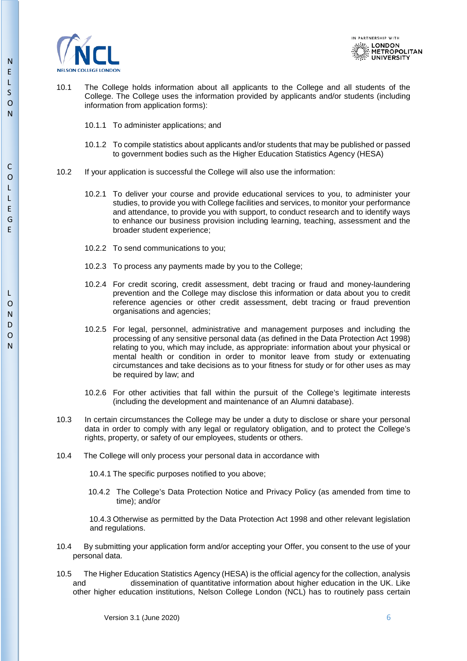



- 10.1 The College holds information about all applicants to the College and all students of the College. The College uses the information provided by applicants and/or students (including information from application forms):
	- 10.1.1 To administer applications; and
	- 10.1.2 To compile statistics about applicants and/or students that may be published or passed to government bodies such as the Higher Education Statistics Agency (HESA)
- 10.2 If your application is successful the College will also use the information:
	- 10.2.1 To deliver your course and provide educational services to you, to administer your studies, to provide you with College facilities and services, to monitor your performance and attendance, to provide you with support, to conduct research and to identify ways to enhance our business provision including learning, teaching, assessment and the broader student experience;
	- 10.2.2 To send communications to you;
	- 10.2.3 To process any payments made by you to the College;
	- 10.2.4 For credit scoring, credit assessment, debt tracing or fraud and money-laundering prevention and the College may disclose this information or data about you to credit reference agencies or other credit assessment, debt tracing or fraud prevention organisations and agencies;
	- 10.2.5 For legal, personnel, administrative and management purposes and including the processing of any sensitive personal data (as defined in the Data Protection Act 1998) relating to you, which may include, as appropriate: information about your physical or mental health or condition in order to monitor leave from study or extenuating circumstances and take decisions as to your fitness for study or for other uses as may be required by law; and
	- 10.2.6 For other activities that fall within the pursuit of the College's legitimate interests (including the development and maintenance of an Alumni database).
- 10.3 In certain circumstances the College may be under a duty to disclose or share your personal data in order to comply with any legal or regulatory obligation, and to protect the College's rights, property, or safety of our employees, students or others.
- 10.4 The College will only process your personal data in accordance with
	- 10.4.1 The specific purposes notified to you above;
	- 10.4.2 The College's Data Protection Notice and Privacy Policy (as amended from time to time); and/or

10.4.3 Otherwise as permitted by the Data Protection Act 1998 and other relevant legislation and regulations.

- 10.4 By submitting your application form and/or accepting your Offer, you consent to the use of your personal data.
- 10.5 The Higher Education Statistics Agency (HESA) is the official agency for the collection, analysis and dissemination of quantitative information about higher education in the UK. Like other higher education institutions, Nelson College London (NCL) has to routinely pass certain

N

C

Version 3.1 (June 2020) 6